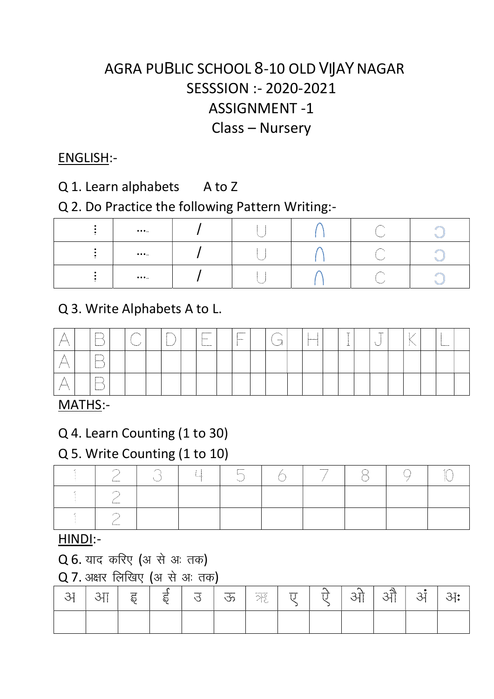# SESSSION :- 2020-2021 ASSIGNMENT -1 Class – Nursery AGRA PUBLIC SCHOOL 8-10 OLD VIJAY NAGAR

#### ENGLISH:-

### Q 1. Learn alphabets A to Z

#### Q 2. Do Practice the following Pattern Writing:-

| $\cdots$                      |  |  |  |
|-------------------------------|--|--|--|
| $\cdots$                      |  |  |  |
| $\bullet\bullet\bullet\ldots$ |  |  |  |

## Q 3. Write Alphabets A to L.

|                             | 1.1.1.1.1.1<br>$5 - 1$<br><b>Longitude</b> | 1.1111<br>$ -$ |  | $-$ | <br>. | <br><b>CONTRACT</b> | $-$<br> | <b>CONTRACTOR</b> | $\sim$<br>$-4-$ | $-$<br><b>Second</b> |  | <b><i><u>Property</u></i></b> |  |
|-----------------------------|--------------------------------------------|----------------|--|-----|-------|---------------------|---------|-------------------|-----------------|----------------------|--|-------------------------------|--|
| forest                      | <b>Samuel</b><br>hannon of                 |                |  |     |       |                     |         |                   |                 |                      |  |                               |  |
| <b><i><u>Antani</u></i></b> | $-0.000000$<br><b>Summer</b><br>hannon of  |                |  |     |       |                     |         |                   |                 |                      |  |                               |  |

#### MATHS:-

## Q 4. Learn Counting (1 to 30)

### Q 5. Write Counting (1 to 10)

| --------- | . | --------<br>Laster, |  |  |  |
|-----------|---|---------------------|--|--|--|
| --------- |   |                     |  |  |  |
| --------  |   |                     |  |  |  |

#### HINDI:-

#### $Q$  6. याद करिए (अ से अ: तक)

### $Q$  7. अक्षर लिखिए (अ $\rightarrow$  अ: तक)

| - -<br><b>The Contract</b><br>∽ | <b>COL MODEL</b> | ----<br><br><br>A.<br>ъ. | <b>STARTS</b><br>---<br>30<br>ъ. | ------<br>∼ | --------<br>∼. | <br>- 개월 | <b>STATISTICS</b> | . .<br><b>COMMERCIAL</b> | - 30<br><b>Service</b><br>----<br>. . | $\sim$<br>مؤدميد<br>. . | <b>Service</b><br>-- | - 7 |
|---------------------------------|------------------|--------------------------|----------------------------------|-------------|----------------|----------|-------------------|--------------------------|---------------------------------------|-------------------------|----------------------|-----|
|                                 |                  |                          |                                  |             |                |          |                   |                          |                                       |                         |                      |     |